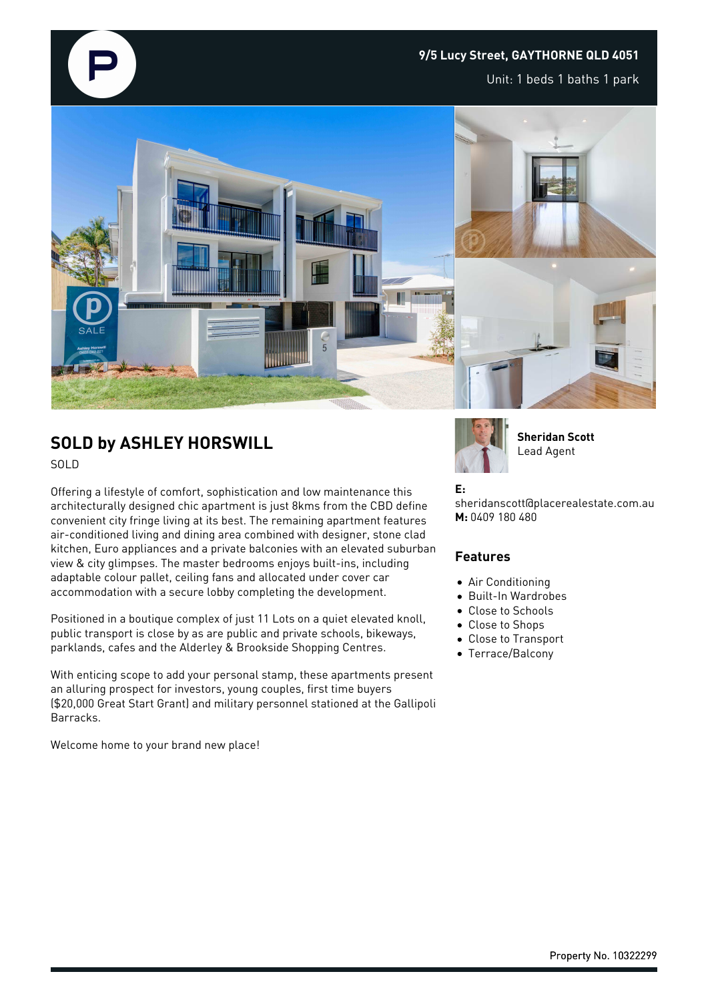## **9/5 Lucy Street, GAYTHORNE QLD 4051**

Unit: 1 beds 1 baths 1 park



# **SOLD by ASHLEY HORSWILL**

SOLD

Offering a lifestyle of comfort, sophistication and low maintenance this architecturally designed chic apartment is just 8kms from the CBD define convenient city fringe living at its best. The remaining apartment features air-conditioned living and dining area combined with designer, stone clad kitchen, Euro appliances and a private balconies with an elevated suburban view & city glimpses. The master bedrooms enjoys built-ins, including adaptable colour pallet, ceiling fans and allocated under cover car accommodation with a secure lobby completing the development.

Positioned in a boutique complex of just 11 Lots on a quiet elevated knoll, public transport is close by as are public and private schools, bikeways, parklands, cafes and the Alderley & Brookside Shopping Centres.

With enticing scope to add your personal stamp, these apartments present an alluring prospect for investors, young couples, first time buyers (\$20,000 Great Start Grant) and military personnel stationed at the Gallipoli Barracks.

Welcome home to your brand new place!



**Sheridan Scott** Lead Agent

### **E:**

sheridanscott@placerealestate.com.au **M:** 0409 180 480

#### **Features**

- Air Conditioning
- Built-In Wardrobes
- Close to Schools
- Close to Shops
- Close to Transport
- Terrace/Balcony